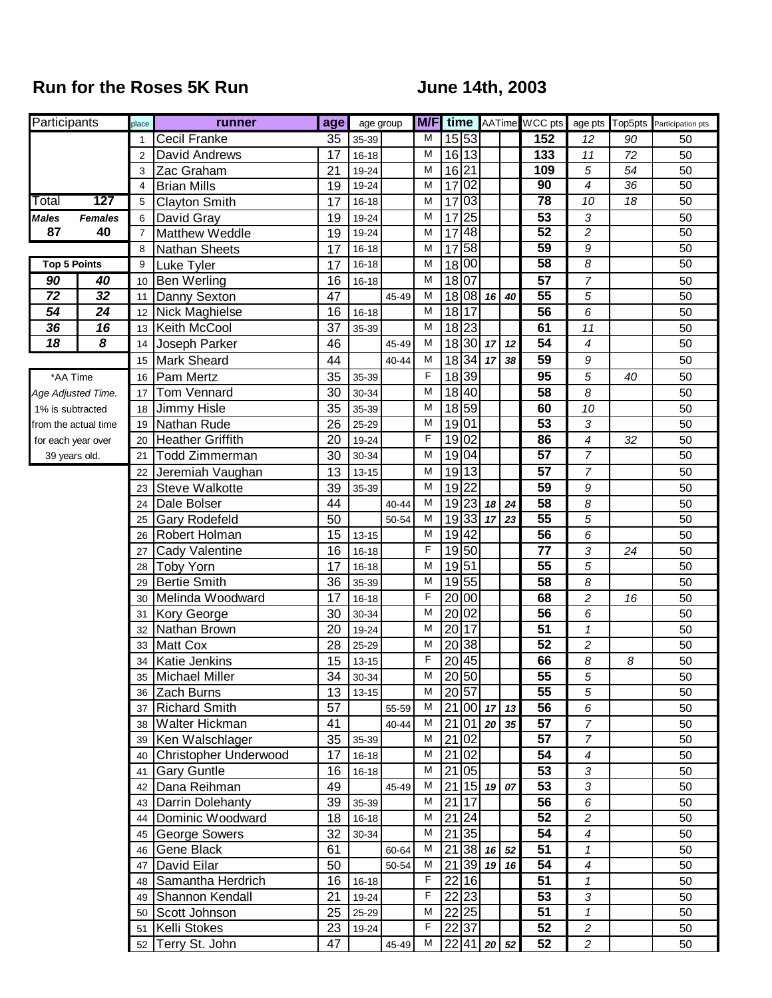## **Run for the Roses 5K Run Constrainer State State State State June 14th, 2003**

| Participants     |                                  | place          | runner                    | age             | age group              |       | M/F            |                 |                       |                |    | time AATime WCC pts   |                          |                 | age pts Top5pts Participation pts |
|------------------|----------------------------------|----------------|---------------------------|-----------------|------------------------|-------|----------------|-----------------|-----------------------|----------------|----|-----------------------|--------------------------|-----------------|-----------------------------------|
|                  |                                  | 1              | Cecil Franke              | 35              | $35 - 39$              |       | M              |                 | 15 53                 |                |    | 152                   | 12                       | 90              | 50                                |
|                  |                                  | 2              | David Andrews             | 17              | $16 - 18$              |       | M              |                 | 16 13                 |                |    | 133                   | 11                       | 72              | 50                                |
|                  |                                  | 3              | Zac Graham                | 21              | 19-24                  |       | M              | 16 21           |                       |                |    | 109                   | 5                        | 54              | 50                                |
|                  |                                  | 4              | <b>Brian Mills</b>        | 19              | 19-24                  |       | M              | $\overline{17}$ | 02                    |                |    | 90                    | $\overline{4}$           | $\overline{36}$ | $\overline{50}$                   |
| Total            | 127                              | 5              | <b>Clayton Smith</b>      | 17              | $16 - 18$              |       | M              | 17              | 03                    |                |    | 78                    | 10                       | $\overline{18}$ | $\overline{50}$                   |
| <b>Males</b>     | <b>Females</b>                   | 6              | David Gray                | 19              | 19-24                  |       | M              | $\overline{17}$ | 25                    |                |    | 53                    | 3                        |                 | 50                                |
| 87               | 40                               | $\overline{7}$ | Matthew Weddle            | 19              | 19-24                  |       | M              | 17              | 48                    |                |    | 52                    | $\overline{2}$           |                 | 50                                |
|                  |                                  | 8              | <b>Nathan Sheets</b>      | 17              | $16 - 18$              |       | M              | $\overline{17}$ | 58                    |                |    | 59                    | 9                        |                 | 50                                |
|                  | <b>Top 5 Points</b>              | 9              | Luke Tyler                | 17              | $16 - 18$              |       | M              | 18              | $ 00\rangle$          |                |    | 58                    | 8                        |                 | 50                                |
| 90               | 40                               | 10             | <b>Ben Werling</b>        | 16              | $16 - 18$              |       | M              | 18 07           |                       |                |    | 57                    | $\boldsymbol{7}$         |                 | 50                                |
| 72               | $\overline{32}$                  | 11             | Danny Sexton              | 47              |                        | 45-49 | M              |                 | 18 08                 | 16             | 40 | $\overline{55}$       | 5                        |                 | 50                                |
| 54               | 24                               | 12             | Nick Maghielse            | 16              | $16 - 18$              |       | M              | 18              | 17                    |                |    | 56                    | 6                        |                 | 50                                |
| 36               | 16                               | 13             | Keith McCool              | 37              | 35-39                  |       | M              |                 | 18 23                 |                |    | 61                    | 11                       |                 | 50                                |
| $\overline{18}$  | $\overline{\boldsymbol{\delta}}$ | 14             | Joseph Parker             | 46              |                        | 45-49 | M              |                 | $18\overline{30}$     | 17             | 12 | $\overline{54}$       | $\overline{\mathcal{A}}$ |                 | 50                                |
|                  |                                  | 15             | Mark Sheard               | 44              |                        | 40-44 | M              |                 | 18 34                 | 17             | 38 | 59                    | 9                        |                 | 50                                |
|                  | *AA Time                         | 16             | Pam Mertz                 | 35              | 35-39                  |       | F              | 18 39           |                       |                |    | 95                    | 5                        | 40              | 50                                |
|                  | Age Adjusted Time.               | 17             | Tom Vennard               | 30              | 30-34                  |       | M              |                 | 18 40                 |                |    | 58                    | 8                        |                 | 50                                |
| 1% is subtracted |                                  | 18             | Jimmy Hisle               | 35              | 35-39                  |       | M              |                 | 18 59                 |                |    | 60                    | 10                       |                 | 50                                |
|                  | from the actual time             | 19             | Nathan Rude               | 26              | 25-29                  |       | M              | 19 01           |                       |                |    | $\overline{53}$       | 3                        |                 | 50                                |
|                  | for each year over               | 20             | <b>Heather Griffith</b>   | 20              | 19-24                  |       | F              | 19              | 02                    |                |    | 86                    | 4                        | 32              | 50                                |
|                  | 39 years old.                    | 21             | <b>Todd Zimmerman</b>     | 30              | 30-34                  |       | M              | 19              | 04                    |                |    | 57                    | $\overline{7}$           |                 | 50                                |
|                  |                                  | 22             | Jeremiah Vaughan          | 13              | $13 - 15$              |       | M              | 19              | 13                    |                |    | 57                    | $\overline{7}$           |                 | 50                                |
|                  |                                  | 23             | Steve Walkotte            | 39              | 35-39                  |       | M              |                 | 19 22                 |                |    | $\overline{59}$       | 9                        |                 | 50                                |
|                  |                                  | 24             | Dale Bolser               | 44              |                        | 40-44 | M              |                 |                       | 19 23 18 24    |    | 58                    | 8                        |                 | 50                                |
|                  |                                  | 25             | Gary Rodefeld             | 50              |                        | 50-54 | M              |                 | 19 33                 | 17             | 23 | $\overline{55}$       | 5                        |                 | 50                                |
|                  |                                  | 26             | Robert Holman             | 15              | $13 - 15$              |       | M              | 19 42           |                       |                |    | 56                    | 6                        |                 | 50                                |
|                  |                                  | 27             | Cady Valentine            | 16              | $16 - 18$              |       | F              | 19 50           |                       |                |    | 77                    | 3                        | 24              | 50                                |
|                  |                                  | 28             | <b>Toby Yorn</b>          | 17              | $16 - 18$              |       | M              | 19              | 51                    |                |    | 55                    | 5                        |                 | 50                                |
|                  |                                  | 29             | <b>Bertie Smith</b>       | 36              | 35-39                  |       | M<br>F         | 19              | 55                    |                |    | $\overline{58}$       | 8                        |                 | 50                                |
|                  |                                  | 30             | Melinda Woodward          | 17              | $16 - 18$              |       | M              | 20              | 00                    |                |    | 68                    | $\overline{\mathbf{c}}$  | 16              | 50                                |
|                  |                                  | 31             | Kory George               | 30              | 30-34                  |       | M              | 20              | 02<br>$\overline{17}$ |                |    | 56<br>$\overline{51}$ | 6                        |                 | 50                                |
|                  |                                  | 32             | Nathan Brown              | 20              | 19-24                  |       | M              | 20<br>20        | 38                    |                |    | 52                    | 1                        |                 | 50                                |
|                  |                                  | 33<br>34       | Matt Cox<br>Katie Jenkins | 28<br>15        | 25-29<br>$13 - 15$     |       | F              | 20              | 45                    |                |    | 66                    | $\overline{c}$<br>8      | 8               | 50<br>50                          |
|                  |                                  |                | 35 Michael Miller         |                 | $34 \overline{)30-34}$ |       | $\overline{M}$ |                 | 20 50                 |                |    | $\overline{55}$       | 5                        |                 | 50                                |
|                  |                                  |                | 36 Zach Burns             | 13 <sup>°</sup> | $13 - 15$              |       | м              | $20\,57$        |                       |                |    | $\overline{55}$       | 5                        |                 | 50                                |
|                  |                                  |                | 37 Richard Smith          | 57              |                        | 55-59 | M              |                 |                       | $21 00 $ 17 13 |    | 56                    | 6                        |                 | 50                                |
|                  |                                  |                | 38 Walter Hickman         | 41              |                        | 40-44 | М              |                 |                       | $21 01 $ 20 35 |    | $\overline{57}$       | $\overline{7}$           |                 | 50                                |
|                  |                                  |                | 39 Ken Walschlager        | $\overline{35}$ | 35-39                  |       | м              |                 | 21 02                 |                |    | 57                    | $\overline{7}$           |                 | 50                                |
|                  |                                  |                | 40 Christopher Underwood  | 17              | $16 - 18$              |       | М              | 21              | 02                    |                |    | 54                    | $\overline{\mathcal{A}}$ |                 | 50                                |
|                  |                                  | 41             | <b>Gary Guntle</b>        | 16              | $16 - 18$              |       | М              |                 | 21 05                 |                |    | 53                    | 3                        |                 | 50                                |
|                  |                                  | 42             | Dana Reihman              | 49              |                        | 45-49 | М              | 21              |                       | $15$ 19 $07$   |    | 53                    | $\sqrt{3}$               |                 | 50                                |
|                  |                                  |                | 43 Darrin Dolehanty       | 39              | 35-39                  |       | М              | 21              | 17                    |                |    | 56                    | 6                        |                 | 50                                |
|                  |                                  | 44             | Dominic Woodward          | 18              | $16 - 18$              |       | М              | $\overline{21}$ | 24                    |                |    | 52                    | $\overline{c}$           |                 | 50                                |
|                  |                                  |                | 45 George Sowers          | 32              | 30-34                  |       | м              | 21              | 35                    |                |    | 54                    | $\boldsymbol{4}$         |                 | 50                                |
|                  |                                  | 46 I           | Gene Black                | 61              |                        | 60-64 | М              | $\overline{21}$ |                       | 38 16 52       |    | 51                    | $\mathbf{1}$             |                 | 50                                |
|                  |                                  | 47             | David Eilar               | 50              |                        | 50-54 | М              | 21              |                       | 39 19 16       |    | 54                    | $\boldsymbol{4}$         |                 | 50                                |
|                  |                                  | 48 I           | Samantha Herdrich         | 16              | $16 - 18$              |       | F              | 22              | 16                    |                |    | 51                    | $\mathcal I$             |                 | 50                                |
|                  |                                  |                | 49 Shannon Kendall        | 21              | 19-24                  |       | $\overline{F}$ |                 | $\overline{22 23 }$   |                |    | 53                    | $\sqrt{3}$               |                 | 50                                |
|                  |                                  |                | 50 Scott Johnson          | $\overline{25}$ | 25-29                  |       | M              |                 | 22 25                 |                |    | $\overline{51}$       | $\mathbf{1}$             |                 | 50                                |
|                  |                                  |                | 51 Kelli Stokes           | 23              | 19-24                  |       | $\overline{F}$ |                 | 22 37                 |                |    | $\overline{52}$       | $\overline{c}$           |                 | 50                                |
|                  |                                  |                | 52 Terry St. John         | 47              |                        | 45-49 | М              |                 |                       | 22 41 20 52    |    | 52                    | $\overline{c}$           |                 | 50                                |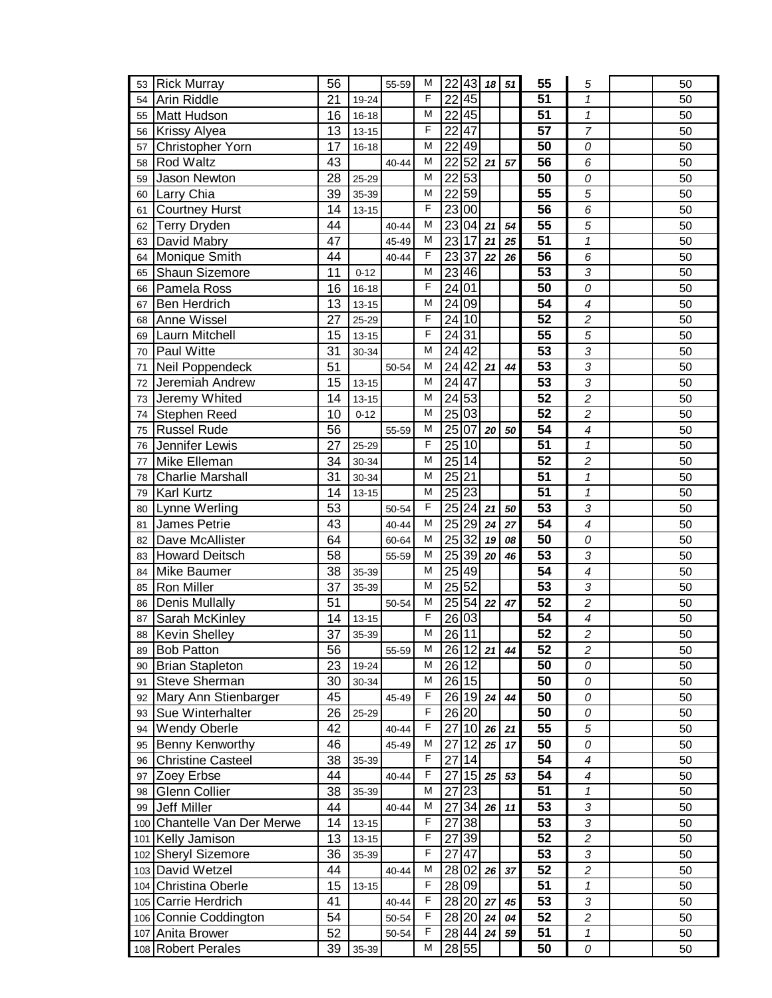| 53 | <b>Rick Murray</b>          | 56              |           | 55-59     | M              | 22              | 43                | 18 <sup>1</sup> | 51 | 55              | 5                          | 50 |
|----|-----------------------------|-----------------|-----------|-----------|----------------|-----------------|-------------------|-----------------|----|-----------------|----------------------------|----|
| 54 | Arin Riddle                 | 21              | 19-24     |           | F              | 22              | 45                |                 |    | 51              | 1                          | 50 |
| 55 | Matt Hudson                 | 16              | $16 - 18$ |           | M              | 22              | 45                |                 |    | 51              | $\mathbf{1}$               | 50 |
| 56 | Krissy Alyea                | 13              | $13 - 15$ |           | F              | 22              | $\overline{47}$   |                 |    | $\overline{57}$ | $\overline{7}$             | 50 |
| 57 | Christopher Yorn            | 17              | $16 - 18$ |           | M              | 22              | 49                |                 |    | 50              | 0                          | 50 |
| 58 | <b>Rod Waltz</b>            | 43              |           | 40-44     | M              | $\overline{22}$ | 52                | 21              | 57 | 56              | 6                          | 50 |
| 59 | Jason Newton                | 28              | 25-29     |           | $\overline{M}$ | 22              | 53                |                 |    | 50              | 0                          | 50 |
| 60 | Larry Chia                  | 39              | 35-39     |           | M              | 22              | 59                |                 |    | $\overline{55}$ | 5                          | 50 |
| 61 | <b>Courtney Hurst</b>       | 14              | $13 - 15$ |           | $\overline{F}$ | 23              | $\overline{00}$   |                 |    | $\overline{56}$ | 6                          | 50 |
| 62 | <b>Terry Dryden</b>         | 44              |           | $40 - 44$ | M              | $\overline{23}$ | 04                | 21              | 54 | $\overline{55}$ | 5                          | 50 |
| 63 | David Mabry                 | 47              |           | 45-49     | M              | 23              | 17                | 21              | 25 | $\overline{51}$ | $\mathbf{1}$               | 50 |
| 64 | Monique Smith               | 44              |           | 40-44     | F              | 23              | 37                | 22              | 26 | $\overline{56}$ | 6                          | 50 |
| 65 | Shaun Sizemore              | 11              | $0 - 12$  |           | M              | 23              | 46                |                 |    | 53              | 3                          | 50 |
| 66 | Pamela Ross                 | 16              | $16 - 18$ |           | F              | 24              | 01                |                 |    | $\overline{50}$ | 0                          | 50 |
| 67 | Ben Herdrich                | 13              | $13 - 15$ |           | M              | 24              | 09                |                 |    | $\overline{54}$ | 4                          | 50 |
| 68 | Anne Wissel                 | 27              | 25-29     |           | F              | 24              | 10                |                 |    | $\overline{52}$ | $\overline{c}$             | 50 |
| 69 | Laurn Mitchell              | 15              | $13 - 15$ |           | F              | 24              | 31                |                 |    | $\overline{55}$ | 5                          | 50 |
| 70 | Paul Witte                  | 31              | 30-34     |           | M              | 24 42           |                   |                 |    | $\overline{53}$ | 3                          | 50 |
| 71 | Neil Poppendeck             | $\overline{51}$ |           | 50-54     | $\overline{M}$ |                 | 24 42             | 21              | 44 | 53              | 3                          | 50 |
| 72 | Jeremiah Andrew             | 15              | $13 - 15$ |           | M              | 24   47         |                   |                 |    | 53              | 3                          | 50 |
| 73 | Jeremy Whited               | 14              | $13 - 15$ |           | M              | 24 53           |                   |                 |    | $\overline{52}$ | $\overline{2}$             | 50 |
| 74 | Stephen Reed                | 10              | $0 - 12$  |           | M              | 25              | 03                |                 |    | 52              | $\overline{c}$             | 50 |
| 75 | <b>Russel Rude</b>          | 56              |           | 55-59     | M              | 25              | 07                | 20              | 50 | $\overline{54}$ | $\overline{\bf{4}}$        | 50 |
| 76 | Jennifer Lewis              | 27              | 25-29     |           | F              | $\overline{25}$ | 10                |                 |    | $\overline{51}$ | $\mathbf{1}$               | 50 |
| 77 | Mike Elleman                | 34              | 30-34     |           | M              | 25              | 14                |                 |    | $\overline{52}$ | $\overline{\mathbf{c}}$    | 50 |
| 78 | <b>Charlie Marshall</b>     | 31              | 30-34     |           | M              | 25              | $\overline{21}$   |                 |    | 51              | $\mathbf{1}$               | 50 |
| 79 | Karl Kurtz                  | 14              | $13 - 15$ |           | M              | 25              | 23                |                 |    | 51              | $\boldsymbol{\mathcal{I}}$ | 50 |
| 80 | Lynne Werling               | 53              |           | 50-54     | F              | $\overline{25}$ | 24                | 21              | 50 | $\overline{53}$ | 3                          | 50 |
| 81 | James Petrie                | 43              |           | $40 - 44$ | M              | 25              | 29                | 24              | 27 | $\overline{54}$ | $\overline{\mathcal{A}}$   | 50 |
| 82 | Dave McAllister             | 64              |           | 60-64     | M              | 25              | 32                | 19              | 08 | $\overline{50}$ | 0                          | 50 |
| 83 | <b>Howard Deitsch</b>       | $\overline{58}$ |           | 55-59     | M              | $\overline{25}$ | 39                | 20              | 46 | $\overline{53}$ | 3                          | 50 |
| 84 | <b>Mike Baumer</b>          | 38              | 35-39     |           | M              | 25              | 49                |                 |    | $\overline{54}$ | $\overline{\mathcal{A}}$   | 50 |
| 85 | Ron Miller                  | 37              | 35-39     |           | M              | $\overline{25}$ | 52                |                 |    | $\overline{53}$ | 3                          | 50 |
| 86 | <b>Denis Mullally</b>       | 51              |           | 50-54     | M              |                 | $25\overline{54}$ | 22              | 47 | $\overline{52}$ | $\overline{c}$             | 50 |
| 87 | Sarah McKinley              | $\overline{14}$ | $13 - 15$ |           | F              | 26 03           |                   |                 |    | 54              | 4                          | 50 |
|    | 88 Kevin Shelley            | 37              | 35-39     |           | M              |                 | 26 11             |                 |    | 52              | 2                          | 50 |
| 89 | <b>Bob Patton</b>           | 56              |           | 55-59     | M              | 26              | 12                | 21              | 44 | 52              | $\overline{\mathbf{c}}$    | 50 |
| 90 | <b>Brian Stapleton</b>      | 23              | 19-24     |           | M              | 26              | 12                |                 |    | 50              | 0                          | 50 |
| 91 | Steve Sherman               | 30              | 30-34     |           | M              |                 | 26 15             |                 |    | $\overline{50}$ | 0                          | 50 |
| 92 | Mary Ann Stienbarger        | 45              |           | 45-49     | F              | 26              | 19                | 24              | 44 | 50              | 0                          | 50 |
| 93 | Sue Winterhalter            | 26              | 25-29     |           | F              | 26 20           |                   |                 |    | 50              | 0                          | 50 |
| 94 | <b>Wendy Oberle</b>         | 42              |           | 40-44     | F              | 27              | 10                | 26              | 21 | 55              | 5                          | 50 |
| 95 | Benny Kenworthy             | 46              |           | 45-49     | M              | 27              | $\overline{12}$   | 25              | 17 | 50              | 0                          | 50 |
| 96 | <b>Christine Casteel</b>    | 38              | 35-39     |           | $\overline{F}$ | 27              | 14                |                 |    | 54              | 4                          | 50 |
| 97 | Zoey Erbse                  | 44              |           | $40 - 44$ | $\mathsf F$    | 27              | 15                | 25              | 53 | 54              | 4                          | 50 |
| 98 | <b>Glenn Collier</b>        | 38              | 35-39     |           | M              | 27              | $\overline{23}$   |                 |    | 51              | $\mathbf{1}$               | 50 |
|    | 99 Jeff Miller              | 44              |           | 40-44     | M              | 27              | 34                | 26              | 11 | 53              | 3                          | 50 |
|    | 100 Chantelle Van Der Merwe | 14              | $13 - 15$ |           | F              | 27              | 38                |                 |    | 53              | 3                          | 50 |
|    | 101 Kelly Jamison           | 13              | $13 - 15$ |           | F              | 27              | 39                |                 |    | 52              | $\overline{c}$             | 50 |
|    | 102 Sheryl Sizemore         | 36              | 35-39     |           | F              | 27              | 47                |                 |    | 53              | 3                          | 50 |
|    | 103 David Wetzel            | 44              |           | $40 - 44$ | M              | 28              | 02                | 26              | 37 | $\overline{52}$ | $\overline{c}$             | 50 |
|    | 104 Christina Oberle        | 15              | $13 - 15$ |           | F              |                 | 28 09             |                 |    | 51              | 1                          | 50 |
|    | 105 Carrie Herdrich         | 41              |           | $40 - 44$ | F              |                 | 28 20 27          |                 | 45 | 53              | 3                          | 50 |
|    | 106 Connie Coddington       | 54              |           | 50-54     | F              | $28\sqrt{20}$   |                   | 24              | 04 | 52              | $\overline{c}$             | 50 |
|    | 107 Anita Brower            | 52              |           | 50-54     | F              |                 | 28 44             | 24              | 59 | 51              | 1                          | 50 |
|    | 108 Robert Perales          | 39              | 35-39     |           | M              |                 | 28 55             |                 |    | 50              | 0                          | 50 |
|    |                             |                 |           |           |                |                 |                   |                 |    |                 |                            |    |